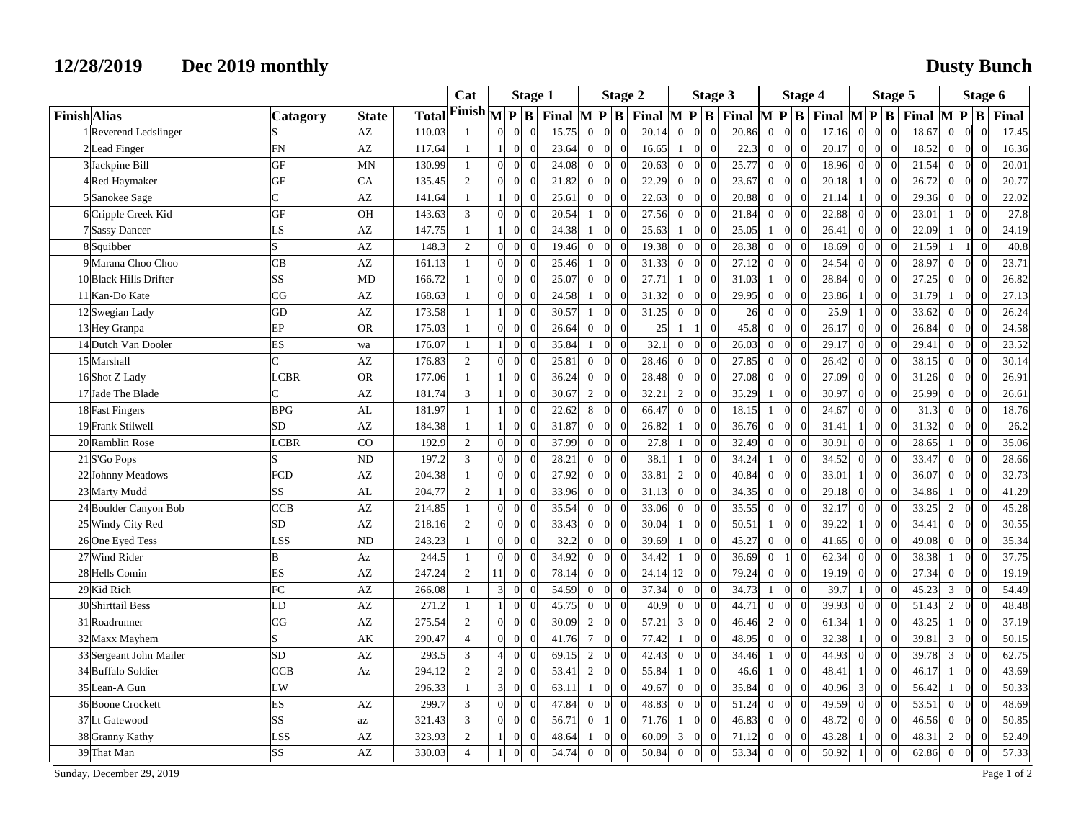## **12/28/2019 Dec 2019 monthly Dusty Bunch**

|                         |                        |              |              | Cat                                  | <b>Stage 1</b>   |                                    |                                          | Stage 2        |                                  | Stage 3                                     |                |                                  |                                          | Stage 4  |                                    | Stage 5                                  |                                   |                |       | Stage 6              |                            |       |
|-------------------------|------------------------|--------------|--------------|--------------------------------------|------------------|------------------------------------|------------------------------------------|----------------|----------------------------------|---------------------------------------------|----------------|----------------------------------|------------------------------------------|----------|------------------------------------|------------------------------------------|-----------------------------------|----------------|-------|----------------------|----------------------------|-------|
| <b>Finish</b> Alias     | Catagory               | <b>State</b> | <b>Total</b> | Finish $\sqrt{\mathbf{P}}\mathbf{B}$ |                  |                                    | Final $\mathbf{M} \mathbf{P} \mathbf{B}$ |                |                                  | Final $\left  M \right  P \left  B \right $ |                |                                  | Final $\mathbf{M} \mathbf{P} \mathbf{B}$ |          |                                    | Final $\mathbf{M} \mathbf{P} \mathbf{B}$ |                                   |                |       | Final $\mathbf{M}$ P | B                          | Final |
| 1 Reverend Ledslinger   |                        | AZ           | 110.03       |                                      | $\Omega$         | $\Omega$<br>$\Omega$               | 15.75                                    | $\Omega$       | $\mathbf{0}$<br>$\Omega$         | 20.14                                       | $\overline{0}$ | $\Omega$<br>$\Omega$             | 20.86                                    |          | $\Omega$<br>$\Omega$               | 17.16                                    | $\overline{0}$<br>$\Omega$        | $\Omega$       | 18.67 | $\Omega$             | $\Omega$<br>$\Omega$       | 17.45 |
| 2Lead Finger            | FN                     | AZ           | 117.64       | $\mathbf{1}$                         | $\mathbf{1}$     | $\overline{0}$<br>$\Omega$         | 23.64                                    | $\vert$ 0      | $\overline{0}$<br>$\overline{0}$ | 16.65                                       | $\mathbf{1}$   | $\overline{0}$<br>$\overline{0}$ | 22.3                                     | $\Omega$ | $\overline{0}$<br>$\overline{0}$   | 20.17                                    | $\vert 0 \vert$<br>$\overline{0}$ | $\overline{0}$ | 18.52 | $\mathbf{0}$         | $\overline{0}$<br>$\Omega$ | 16.36 |
| 3 Jackpine Bill         | GF                     | MN           | 130.99       | $\mathbf{1}$                         | $\overline{0}$   | $\overline{0}$<br>$\Omega$         | 24.08                                    | $\overline{0}$ | $\mathbf{0}$<br>$\overline{0}$   | 20.63                                       | $\overline{0}$ | $\vert$ 0<br>$\theta$            | 25.77                                    |          | $\boldsymbol{0}$<br>$\overline{0}$ | 18.96                                    | $\overline{0}$                    | $\overline{0}$ | 21.54 | $\overline{0}$       | $\overline{0}$             | 20.01 |
| 4Red Haymaker           | GF                     | CA           | 135.45       | $\mathbf{2}$                         | $\Omega$         | $\overline{0}$<br>$\Omega$         | 21.82                                    | $\theta$       | $\mathbf{0}$<br>$\Omega$         | 22.29                                       | $\overline{0}$ | $\Omega$<br>$\Omega$             | 23.67                                    |          | $\overline{0}$<br>$\Omega$         | 20.18                                    | $\vert 0 \vert$                   | $\Omega$       | 26.72 | $\Omega$             | $\Omega$<br>$\Omega$       | 20.77 |
| 5 Sanokee Sage          | Ċ                      | AZ           | 141.64       | $\mathbf{1}$                         | $\mathbf{1}$     | $\overline{0}$<br>$\mathbf{0}$     | 25.61                                    | $\vert$ 0      | $\mathbf{0}$<br>$\theta$         | 22.63                                       | $\overline{0}$ | $\vert$ 0<br>$\Omega$            | 20.88                                    | $\Omega$ | $\boldsymbol{0}$<br>$\Omega$       | 21.14                                    | $\vert 0 \vert$                   | $\theta$       | 29.36 | $\Omega$             | $\overline{0}$<br>$\Omega$ | 22.02 |
| 6 Cripple Creek Kid     | GF                     | OH           | 143.63       | $\mathfrak{Z}$                       | $\overline{0}$   | $\overline{0}$<br>$\Omega$         | 20.54                                    |                | $\mathbf{0}$<br>$\Omega$         | 27.56                                       | $\overline{0}$ | $\overline{0}$<br>$\overline{0}$ | 21.84                                    |          | $\overline{0}$                     | 22.88                                    | $\vert 0 \vert$                   | $\Omega$       | 23.01 |                      | $\overline{0}$<br>$\Omega$ | 27.8  |
| 7 Sassy Dancer          | LS                     | AZ           | 147.75       | $\mathbf{1}$                         | $\mathbf{1}$     | $\Omega$<br>$\Omega$               | 24.38                                    | $\overline{1}$ | $\overline{0}$<br>$\theta$       | 25.63                                       | $\mathbf{1}$   | $\Omega$<br>$\Omega$             | 25.05                                    |          | $\overline{0}$<br>$\Omega$         | 26.41                                    | $\overline{0}$<br>$\Omega$        | $\Omega$       | 22.09 |                      | $\Omega$<br>$\Omega$       | 24.19 |
| 8Squibber               |                        | AZ           | 148.3        | 2                                    | $\overline{0}$   | $\overline{0}$<br>$\mathbf{0}$     | 19.46                                    | $\overline{0}$ | $\mathbf{0}$<br>$\overline{0}$   | 19.38                                       | $\overline{0}$ | $\overline{0}$<br>$\Omega$       | 28.38                                    |          | $\boldsymbol{0}$<br>$\Omega$       | 18.69                                    | $\vert 0 \vert$                   | $\theta$       | 21.59 |                      | $1\vert$<br>$\Omega$       | 40.8  |
| 9 Marana Choo Choo      | <b>CB</b>              | AZ           | 161.13       | $\mathbf{1}$                         | $\overline{0}$   | $\Omega$<br>$\Omega$               | 25.46                                    |                | $\mathbf{0}$<br>$\sqrt{ }$       | 31.33                                       | $\overline{0}$ | $\Omega$                         | 27.12                                    |          | $\overline{0}$                     | 24.54                                    | $\vert$                           | $\Omega$       | 28.97 | $\Omega$             | $\Omega$<br>$\Omega$       | 23.71 |
| 10 Black Hills Drifter  | SS                     | <b>MD</b>    | 166.72       | 1                                    | $\Omega$         | $\overline{0}$<br>$\Omega$         | 25.07                                    | $\overline{0}$ | $\overline{0}$<br>$\Omega$       | 27.71                                       | 1              | $\Omega$<br>$\Omega$             | 31.03                                    |          | $\overline{0}$<br>$\Omega$         | 28.84                                    | $\overline{0}$                    | $\theta$       | 27.25 | $\Omega$             | $\Omega$<br>$\Omega$       | 26.82 |
| 11 Kan-Do Kate          | $\overline{\text{CG}}$ | AZ           | 168.63       | $\mathbf{1}$                         | $\overline{0}$   | $\Omega$<br>$\Omega$               | 24.58                                    |                | $\mathbf{0}$<br>$\Omega$         | 31.32                                       | $\overline{0}$ | $\Omega$<br>$\overline{0}$       | 29.95                                    |          | $\overline{0}$<br>$\Omega$         | 23.86                                    | $\vert 0 \vert$                   | $\Omega$       | 31.79 |                      | $\Omega$                   | 27.13 |
| 12 Swegian Lady         | GD                     | AZ           | 173.58       | $\mathbf{1}$                         | 1                | $\theta$<br>$\Omega$               | 30.57                                    | $\mathbf{1}$   | $\overline{0}$<br>$\theta$       | 31.25                                       | $\overline{0}$ | $\Omega$<br>$\Omega$             | 26                                       |          | $\theta$<br>$\Omega$               | 25.9                                     | $\vert$                           | $\Omega$       | 33.62 | $\Omega$             | $\Omega$                   | 26.24 |
| 13 Hey Granpa           | EP                     | <b>OR</b>    | 175.03       | $\mathbf{1}$                         | $\overline{0}$   | $\overline{0}$<br>$\Omega$         | 26.64                                    | $\overline{0}$ | $\mathbf{0}$<br>$\overline{0}$   | 25                                          | $\mathbf{1}$   | $1\vert$<br>$\overline{0}$       | 45.8                                     |          | $\overline{0}$<br>$\Omega$         | 26.17                                    | $\vert 0 \vert$<br>$\Omega$       | $\theta$       | 26.84 | $\Omega$             | $\overline{0}$             | 24.58 |
| 14 Dutch Van Dooler     | ES                     | wa           | 176.07       |                                      |                  | $\Omega$<br>$\Omega$               | 35.84                                    |                | $\mathbf{0}$<br>$\Omega$         | 32.1                                        | $\overline{0}$ | $\Omega$<br>$\Omega$             | 26.03                                    |          | $\Omega$<br>$\Omega$               | 29.17                                    | $\vert$                           | $\Omega$       | 29.41 | $\Omega$             | $\Omega$                   | 23.52 |
| 15 Marshall             | $\overline{C}$         | AZ           | 176.83       | 2                                    | $\overline{0}$   | $\overline{0}$<br>$\theta$         | 25.81                                    | $\vert$ 0      | $\mathbf{0}$<br>$\Omega$         | 28.46                                       | $\overline{0}$ | $\vert$ 0<br>$\theta$            | 27.85                                    | $\Omega$ | $\mathbf{0}$<br>$\Omega$           | 26.42                                    | $\overline{0}$<br>$\Omega$        | $\Omega$       | 38.15 | $\overline{0}$       | $\overline{0}$<br>$\Omega$ | 30.14 |
| 16 Shot Z Lady          | <b>CBR</b>             | <b>OR</b>    | 177.06       | $\mathbf{1}$                         |                  | $\overline{0}$<br>$\Omega$         | 36.24                                    | $\theta$       | $\mathbf{0}$<br>$\sqrt{ }$       | 28.48                                       | $\overline{0}$ | $\overline{0}$<br>$\overline{0}$ | 27.08                                    |          | $\overline{0}$                     | 27.09                                    | $\boldsymbol{0}$                  |                | 31.26 | $\Omega$             | $\overline{0}$             | 26.91 |
| 17 Jade The Blade       |                        | AZ           | 181.74       | 3                                    | $\mathbf{1}$     | $\Omega$<br>$\Omega$               | 30.67                                    | $\overline{2}$ | $\mathbf{0}$<br>$\theta$         | 32.21                                       | $\overline{2}$ | $\Omega$<br>$\overline{0}$       | 35.29                                    |          | $\overline{0}$<br>$\Omega$         | 30.97                                    | $\overline{0}$<br>$\Omega$        | $\theta$       | 25.99 | $\Omega$             | $\Omega$                   | 26.61 |
| 18 Fast Fingers         | <b>BPG</b>             | AL           | 181.97       | $\mathbf{1}$                         |                  | $\overline{0}$<br>$\Omega$         | 22.62                                    | 8              | $\mathbf{0}$<br>$\overline{0}$   | 66.47                                       | $\overline{0}$ | $\overline{0}$<br>$\overline{0}$ | 18.15                                    |          | $\boldsymbol{0}$<br>$\overline{0}$ | 24.67                                    | $\vert$                           | $\overline{0}$ | 31.3  | $\theta$             | $\overline{0}$<br>$\Omega$ | 18.76 |
| 19 Frank Stilwell       | <b>SD</b>              | AZ           | 184.38       | $\mathbf{1}$                         | 1                | $\overline{0}$<br>$\Omega$         | 31.87                                    | $\overline{0}$ | $\mathbf{0}$<br>$\theta$         | 26.82                                       | 1              | $\overline{0}$<br>$\Omega$       | 36.76                                    |          | $\overline{0}$                     | 31.41                                    | $\vert$                           | $\theta$       | 31.32 | $\Omega$             | $\Omega$<br>$\Omega$       | 26.2  |
| 20 Ramblin Rose         | <b>LCBR</b>            | CO           | 192.9        | 2                                    | $\Omega$         | $\overline{0}$<br>$\Omega$         | 37.99                                    | $\Omega$       | $\overline{0}$<br>$\theta$       | 27.8                                        | $\mathbf{1}$   | $\overline{0}$<br>$\Omega$       | 32.49                                    | $\Omega$ | $\overline{0}$<br>$\theta$         | 30.91                                    | $\vert$<br>$\Omega$               | $\theta$       | 28.65 | $\mathbf{1}$         | $\Omega$<br>$\Omega$       | 35.06 |
| 21 S'Go Pops            |                        | <b>ND</b>    | 197.2        | $\overline{3}$                       | $\overline{0}$   | $\overline{0}$<br>$\Omega$         | 28.21                                    | $\Omega$       | $\mathbf{0}$<br>$\Omega$         | 38.1                                        | $\mathbf{1}$   | $\overline{0}$<br>$\overline{0}$ | 34.24                                    |          | $\overline{0}$                     | 34.52                                    | $\vert$                           |                | 33.47 | $\Omega$             | $\overline{0}$             | 28.66 |
| 22 Johnny Meadows       | <b>FCD</b>             | AZ           | 204.38       | $\mathbf{1}$                         | $\Omega$         | $\Omega$<br>$\Omega$               | 27.92                                    | $\Omega$       | $\mathbf{0}$<br>$\theta$         | 33.81                                       | $\overline{2}$ | $\Omega$<br>$\Omega$             | 40.84                                    |          | $\overline{0}$<br>$\Omega$         | 33.01                                    | $\overline{0}$                    | $\Omega$       | 36.07 | $\Omega$             | $\Omega$                   | 32.73 |
| 23 Marty Mudd           | SS                     | AL           | 204.77       | 2                                    |                  | $\overline{0}$<br>$\Omega$         | 33.96                                    | $\overline{0}$ | $\overline{0}$<br>$\overline{0}$ | 31.13                                       | $\overline{0}$ | $\overline{0}$<br>$\Omega$       | 34.35                                    |          | $\boldsymbol{0}$<br>$\Omega$       | 29.18                                    | $\vert$<br>$\Omega$               | $\theta$       | 34.86 |                      | $\overline{0}$             | 41.29 |
| 24 Boulder Canyon Bob   | <b>CCB</b>             | AZ           | 214.85       | 1                                    | $\Omega$         | $\Omega$                           | 35.54                                    | $\Omega$       | $\overline{0}$<br>$\Omega$       | 33.06                                       | $\overline{0}$ | $\Omega$<br>$\Omega$             | 35.55                                    |          | $\overline{0}$<br>$\Omega$         | 32.17                                    | $\vert$                           | $\Omega$       | 33.25 | $\mathcal{P}$        | $\Omega$                   | 45.28 |
| 25 Windy City Red       | <b>SD</b>              | AZ           | 218.16       | 2                                    | $\Omega$         | $\Omega$<br>$\Omega$               | 33.43                                    | $\Omega$       | $\overline{0}$<br>$\theta$       | 30.04                                       | $\mathbf{1}$   | $\Omega$<br>$\Omega$             | 50.51                                    |          | $\overline{0}$<br>$\Omega$         | 39.22                                    | $\overline{0}$                    | $\Omega$       | 34.41 | $\Omega$             | $\Omega$<br>$\Omega$       | 30.55 |
| 26 One Eyed Tess        | <b>LSS</b>             | <b>ND</b>    | 243.23       | 1                                    | $\overline{0}$   | $\Omega$<br>$\Omega$               | 32.2                                     | $\Omega$       | $\mathbf{0}$<br>$\sqrt{ }$       | 39.69                                       | $\mathbf{1}$   | $\Omega$<br>$\Omega$             | 45.27                                    |          | $\overline{0}$<br>$\Omega$         | 41.65                                    | $\overline{0}$                    |                | 49.08 | $\Omega$             | $\Omega$                   | 35.34 |
| 27 Wind Rider           | B                      | Az           | 244.5        | $\mathbf{1}$                         | $\Omega$         | $\Omega$<br>$\Omega$               | 34.92                                    | $\Omega$       | $\mathbf{0}$<br>$\Omega$         | 34.42                                       | $\overline{1}$ | $\Omega$<br>$\Omega$             | 36.69                                    |          | $\mathbf{1}$<br>$\Omega$           | 62.34                                    | $\vert$<br>$\Omega$               | $\Omega$       | 38.38 |                      | $\Omega$                   | 37.75 |
| 28 Hells Comin          | ES                     | AZ           | 247.24       | $\overline{2}$                       | 11               | $\boldsymbol{0}$<br>$\overline{0}$ | 78.14                                    | $\overline{0}$ | $\overline{0}$<br>$\overline{0}$ | 24.14                                       | 12             | $\overline{0}$<br>$\theta$       | 79.24                                    |          | $\boldsymbol{0}$<br>$\overline{0}$ | 19.19                                    | $\vert$<br>$\theta$               | $\overline{0}$ | 27.34 | $\theta$             | $\overline{0}$             | 19.19 |
| 29 Kid Rich             | FC                     | AZ           | 266.08       | $\mathbf{1}$                         | $\overline{3}$   | $\overline{0}$<br>$\Omega$         | 54.59                                    | $\overline{0}$ | $\mathbf{0}$<br>$\Omega$         | 37.34                                       | $\overline{0}$ | $\overline{0}$<br>$\theta$       | 34.73                                    |          | $\overline{0}$<br>$\theta$         | 39.7                                     | $\vert$                           | $\theta$       | 45.23 | 3                    | $\Omega$                   | 54.49 |
| 30 Shirttail Bess       | LD                     | AZ           | 271.2        | $\mathbf{1}$                         | $\mathbf{1}$     | $\overline{0}$<br>$\Omega$         | 45.75                                    | $\overline{0}$ | $\overline{0}$<br>$\theta$       | 40.9                                        | $\overline{0}$ | $\overline{0}$<br>$\Omega$       | 44.71                                    |          | $\overline{0}$<br>$\theta$         | 39.93                                    | $\vert$<br>$\Omega$               | $\theta$       | 51.43 | $\overline{2}$       | $\Omega$<br>$\Omega$       | 48.48 |
| 31 Roadrunner           | CG                     | AZ           | 275.54       | 2                                    | $\overline{0}$   | $\overline{0}$<br>$\Omega$         | 30.09                                    | $\overline{2}$ | $\overline{0}$<br>$\Omega$       | 57.21                                       | $\vert$ 3      | $\overline{0}$<br>$\overline{0}$ | 46.46                                    |          | $\boldsymbol{0}$<br>$\Omega$       | 61.34                                    | $\overline{0}$                    |                | 43.25 |                      | $\overline{0}$             | 37.19 |
| 32 Maxx Mayhem          |                        | AK           | 290.47       | $\overline{4}$                       | $\Omega$         | $\Omega$<br>$\Omega$               | 41.76                                    | $\overline{7}$ | $\boldsymbol{0}$<br>$\theta$     | 77.42                                       | $\mathbf{1}$   | $\Omega$<br>$\overline{0}$       | 48.95                                    |          | $\overline{0}$<br>$\Omega$         | 32.38                                    | $\vert 0 \vert$                   | $\Omega$       | 39.81 | 3                    | $\Omega$                   | 50.15 |
| 33 Sergeant John Mailer | SD                     | <b>AZ</b>    | 293.5        | $\mathbf{3}$                         | $\left 4\right $ | $\overline{0}$<br>$\overline{0}$   | 69.15                                    | $\overline{2}$ | $\overline{0}$<br>$\overline{0}$ | 42.43                                       | $\overline{0}$ | $\vert$ 0<br>$\overline{0}$      | 34.46                                    |          | $\mathbf{0}$<br>$\overline{0}$     | 44.93                                    | $\vert 0 \vert$<br>$\Omega$       | $\overline{0}$ | 39.78 | $\overline{3}$       | $\overline{0}$<br>$\Omega$ | 62.75 |
| 34 Buffalo Soldier      | <b>CCB</b>             | Az           | 294.12       | $\mathbf{2}$                         | $\overline{2}$   | $\mathbf{0}$<br>$\overline{0}$     | 53.41                                    | 2              | $\mathbf{0}$<br>$\theta$         | 55.84                                       | $\mathbf{1}$   | $\overline{0}$<br>$\Omega$       | 46.6                                     |          | $\overline{0}$<br>$\Omega$         | 48.41                                    | $\vert 0 \vert$                   | $\theta$       | 46.17 |                      | $\Omega$                   | 43.69 |
| 35 Lean-A Gun           | LW                     |              | 296.33       | $\mathbf{1}$                         | $\overline{3}$   | $\mathbf{0}$<br>$\Omega$           | 63.11                                    | $\vert$        | $\overline{0}$<br>$\theta$       | 49.67                                       | $\overline{0}$ | $\Omega$<br>$\theta$             | 35.84                                    |          | $\overline{0}$<br>$\Omega$         | 40.96                                    | $\vert$<br>$\mathcal{R}$          | $\Omega$       | 56.42 |                      | $\Omega$<br>$\Omega$       | 50.33 |
| 36 Boone Crockett       | ES                     | AZ           | 299.7        | $\mathbf{3}$                         | $\overline{0}$   | $\overline{0}$<br>$\Omega$         | 47.84                                    | $\overline{0}$ | $\mathbf{0}$<br>$\Omega$         | 48.83                                       | $\overline{0}$ | $\Omega$                         | 51.24                                    |          | $\boldsymbol{0}$<br>$\Omega$       | 49.59                                    | $\boldsymbol{0}$                  |                | 53.51 | $\Omega$             | $\Omega$                   | 48.69 |
| 37 Lt Gatewood          | SS                     | az           | 321.43       | $\mathbf{3}$                         | $\Omega$         | $\Omega$<br>$\Omega$               | 56.71                                    | $\Omega$       | $\mathbf{1}$<br>$\theta$         | 71.76                                       | $\mathbf{1}$   | $\Omega$<br>$\Omega$             | 46.83                                    |          | $\overline{0}$                     | 48.72                                    | $\overline{0}$                    | $\Omega$       | 46.56 |                      | $\Omega$                   | 50.85 |
| 38 Granny Kathy         | LSS                    | AZ           | 323.93       | $\overline{2}$                       |                  | $\overline{0}$<br>$\Omega$         | 48.64                                    | $\vert$        | $\mathbf{0}$<br>$\overline{0}$   | 60.09                                       | $\vert$ 3      | $\overline{0}$<br>$\Omega$       | 71.12                                    | $\Omega$ | $\overline{0}$<br>$\Omega$         | 43.28                                    | $\overline{0}$                    | $\theta$       | 48.31 | $\overline{c}$       | $\Omega$                   | 52.49 |
| 39 That Man             | SS                     | AZ           | 330.03       | $\overline{4}$                       |                  | $\Omega$<br>$\Omega$               | 54.74                                    | $\Omega$       | $\overline{0}$<br>$\Omega$       | 50.84                                       | $\overline{0}$ | $\Omega$                         | 53.34                                    |          | $\Omega$<br>$\Omega$               | 50.92                                    | $\overline{0}$                    | $\Omega$       | 62.86 |                      | $\Omega$                   | 57.33 |

Sunday, December 29, 2019 Page 1 of 2